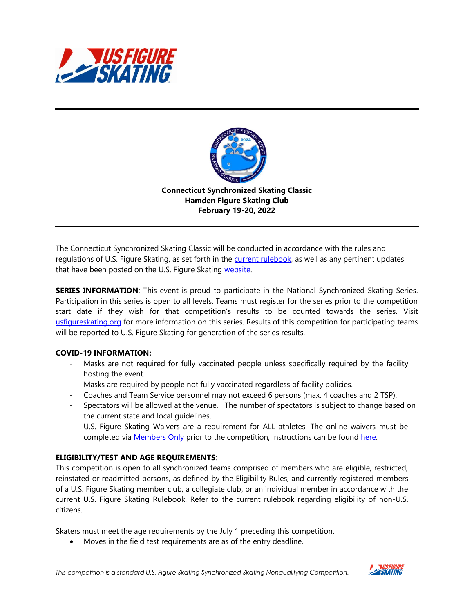



The Connecticut Synchronized Skating Classic will be conducted in accordance with the rules and regulations of U.S. Figure Skating, as set forth in the [current rulebook,](https://www.usfigureskating.org/about/rules) as well as any pertinent updates that have been posted on the U.S. Figure Skating [website.](https://www.usfigureskating.org/members-only/members/technical-notifications)

**SERIES INFORMATION**: This event is proud to participate in the National Synchronized Skating Series. Participation in this series is open to all levels. Teams must register for the series prior to the competition start date if they wish for that competition's results to be counted towards the series. Visit [usfigureskating.org](http://usfigureskating.org/) for more information on this series. Results of this competition for participating teams will be reported to U.S. Figure Skating for generation of the series results.

## **COVID-19 INFORMATION:**

- Masks are not required for fully vaccinated people unless specifically required by the facility hosting the event.
- Masks are required by people not fully vaccinated regardless of facility policies.
- Coaches and Team Service personnel may not exceed 6 persons (max. 4 coaches and 2 TSP).
- Spectators will be allowed at the venue. The number of spectators is subject to change based on the current state and local guidelines.
- U.S. Figure Skating Waivers are a requirement for ALL athletes. The online waivers must be completed via [Members](http://www.usfsaonline.org/) Only prior to the competition, instructions can be found [here.](https://public.3.basecamp.com/p/rE4qkig51ALjqSFshzeJxCcz)

#### **ELIGIBILITY/TEST AND AGE REQUIREMENTS**:

This competition is open to all synchronized teams comprised of members who are eligible, restricted, reinstated or readmitted persons, as defined by the Eligibility Rules, and currently registered members of a U.S. Figure Skating member club, a collegiate club, or an individual member in accordance with the current U.S. Figure Skating Rulebook. Refer to the current rulebook regarding eligibility of non-U.S. citizens.

Skaters must meet the age requirements by the July 1 preceding this competition.

• Moves in the field test requirements are as of the entry deadline.

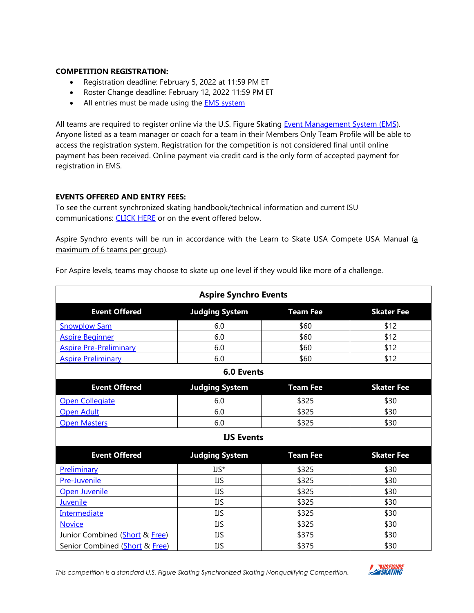#### **COMPETITION REGISTRATION:**

- Registration deadline: February 5, 2022 at 11:59 PM ET
- Roster Change deadline: February 12, 2022 11:59 PM ET
- All entries must be made using the **EMS** [system](https://m.usfigureskating.org/competition/30428)

All teams are required to register online via the U.S. Figure Skating [Event Management System \(EMS\)](https://m.usfigureskating.org/competition/30428). Anyone listed as a team manager or coach for a team in their Members Only Team Profile will be able to access the registration system. Registration for the competition is not considered final until online payment has been received. Online payment via credit card is the only form of accepted payment for registration in EMS.

## **EVENTS OFFERED AND ENTRY FEES:**

To see the current synchronized skating handbook/technical information and current ISU communications: [CLICK HERE](https://www.usfigureskating.org/members-only/officials/skating-rules-and-resources/synchronized?mocrToken=-TkN1FkbLtRqCzHJk1xrZ9BiFE_o5lNfRcrSvE6s3SkDIJWSL2zFEERqFk4gpe1s-eAwgLNUdhHGPUaYrUokq6pUynXVFw509Ta4705JjSUAEs2Z5YU5j6DooyPS_-eO-3fGflfMSpLMA54EgEz8D7wFqBcWHbZSlL1hqnu-pzLy9ri1O-GIfv9hDgfZHz4wWXZWi9D7HwkBHz6n35IQdwAQMTcj70IYC34DLYhMVdc=) or on the event offered below.

Aspire Synchro events will be run in accordance with the Learn to Skate USA Compete USA Manual (a maximum of 6 teams per group).

| <b>Aspire Synchro Events</b>   |                       |                 |                   |  |  |  |
|--------------------------------|-----------------------|-----------------|-------------------|--|--|--|
| <b>Event Offered</b>           | <b>Judging System</b> | <b>Team Fee</b> | <b>Skater Fee</b> |  |  |  |
| <b>Snowplow Sam</b>            | 6.0                   | \$60            | \$12              |  |  |  |
| <b>Aspire Beginner</b>         | 6.0                   | \$60            | \$12              |  |  |  |
| <b>Aspire Pre-Preliminary</b>  | 6.0                   | \$60            | \$12              |  |  |  |
| <b>Aspire Preliminary</b>      | 6.0                   | \$60            | \$12              |  |  |  |
|                                | 6.0 Events            |                 |                   |  |  |  |
| <b>Event Offered</b>           | <b>Judging System</b> | <b>Team Fee</b> | <b>Skater Fee</b> |  |  |  |
| Open Collegiate                | 6.0                   | \$325           | \$30              |  |  |  |
| Open Adult                     | 6.0                   | \$325           | \$30              |  |  |  |
| <b>Open Masters</b>            | 6.0                   | \$325           | \$30              |  |  |  |
|                                | <b>IJS Events</b>     |                 |                   |  |  |  |
| <b>Event Offered</b>           | <b>Judging System</b> | <b>Team Fee</b> | <b>Skater Fee</b> |  |  |  |
| Preliminary                    | $US^*$                | \$325           | \$30              |  |  |  |
| Pre-Juvenile                   | <b>IJS</b>            | \$325           | \$30              |  |  |  |
| Open Juvenile                  | <b>IJS</b>            | \$325           | \$30              |  |  |  |
| Juvenile                       | IJS                   | \$325           | \$30              |  |  |  |
| <b>Intermediate</b>            | <b>IJS</b>            | \$325           | \$30              |  |  |  |
| <b>Novice</b>                  | IJS                   | \$325           | \$30              |  |  |  |
| Junior Combined (Short & Free) | IJS                   | \$375           | \$30              |  |  |  |
| Senior Combined (Short & Free) | IJS                   | \$375           | \$30              |  |  |  |

For Aspire levels, teams may choose to skate up one level if they would like more of a challenge.

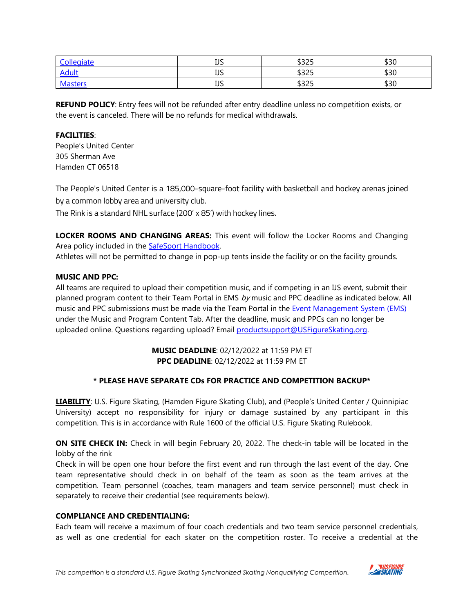| Collegiate     | <b>TIC</b><br>ر_ ر_ | よつつに<br>رےرب | よつへ<br>งวบ |
|----------------|---------------------|--------------|------------|
| <b>Adult</b>   | <b>TIC</b><br>درړ   | よつつに<br>رےرب | \$30       |
| <b>Masters</b> | חו ד<br>ມມ          | よつつに<br>رےرب | \$30       |

**REFUND POLICY:** Entry fees will not be refunded after entry deadline unless no competition exists, or the event is canceled. There will be no refunds for medical withdrawals.

# **FACILITIES**:

People's United Center 305 Sherman Ave Hamden CT 06518

The People's United Center is a 185,000-square-foot facility with basketball and hockey arenas joined by a common lobby area and university club.

The Rink is a standard NHL surface (200' x 85') with hockey lines.

**LOCKER ROOMS AND CHANGING AREAS:** This event will follow the Locker Rooms and Changing Area policy included in the **SafeSport Handbook**.

Athletes will not be permitted to change in pop-up tents inside the facility or on the facility grounds.

# **MUSIC AND PPC:**

All teams are required to upload their competition music, and if competing in an IJS event, submit their planned program content to their Team Portal in EMS  $by$  music and PPC deadline as indicated below. All music and PPC submissions must be made via the Team Portal in the [Event Management System \(EMS\)](https://m.usfigureskating.org/competition/30428) under the Music and Program Content Tab. After the deadline, music and PPCs can no longer be uploaded online. Questions regarding upload? Email [productsupport@USFigureSkating.org.](mailto:productsupport@USFigureSkating.org) 

## **MUSIC DEADLINE**: 02/12/2022 at 11:59 PM ET **PPC DEADLINE**: 02/12/2022 at 11:59 PM ET

# **\* PLEASE HAVE SEPARATE CDs FOR PRACTICE AND COMPETITION BACKUP\***

**LIABILITY**: U.S. Figure Skating, (Hamden Figure Skating Club), and (People's United Center / Quinnipiac University) accept no responsibility for injury or damage sustained by any participant in this competition. This is in accordance with Rule 1600 of the official U.S. Figure Skating Rulebook.

**ON SITE CHECK IN:** Check in will begin February 20, 2022. The check-in table will be located in the lobby of the rink

Check in will be open one hour before the first event and run through the last event of the day. One team representative should check in on behalf of the team as soon as the team arrives at the competition. Team personnel (coaches, team managers and team service personnel) must check in separately to receive their credential (see requirements below).

# **COMPLIANCE AND CREDENTIALING:**

Each team will receive a maximum of four coach credentials and two team service personnel credentials, as well as one credential for each skater on the competition roster. To receive a credential at the

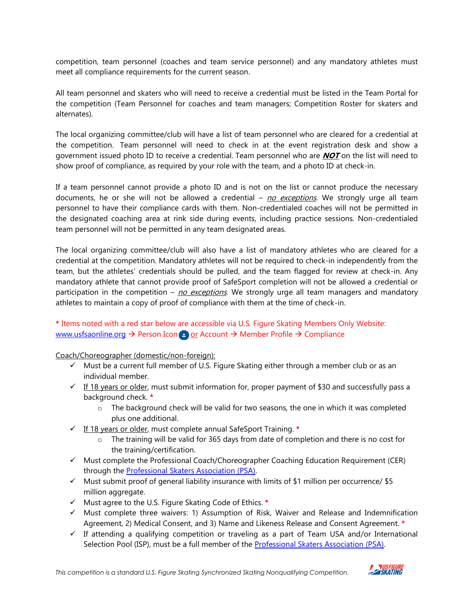competition, team personnel (coaches and team service personnel) and any mandatory athletes must meet all compliance requirements for the current season.

All team personnel and skaters who will need to receive a credential must be listed in the Team Portal for the competition (Team Personnel for coaches and team managers; Competition Roster for skaters and alternates).

The local organizing committee/club will have a list of team personnel who are cleared for a credential at the competition. Team personnel will need to check in at the event registration desk and show a government issued photo ID to receive a credential. Team personnel who are **NOT** on the list will need to show proof of compliance, as required by your role with the team, and a photo ID at check-in.

If a team personnel cannot provide a photo ID and is not on the list or cannot produce the necessary documents, he or she will not be allowed a credential – no exceptions. We strongly urge all team personnel to have their compliance cards with them. Non-credentialed coaches will not be permitted in the designated coaching area at rink side during events, including practice sessions. Non-credentialed team personnel will not be permitted in any team designated areas.

The local organizing committee/club will also have a list of mandatory athletes who are cleared for a credential at the competition. Mandatory athletes will not be required to check-in independently from the team, but the athletes' credentials should be pulled, and the team flagged for review at check-in. Any mandatory athlete that cannot provide proof of SafeSport completion will not be allowed a credential or participation in the competition –  $\underline{no}$  exceptions. We strongly urge all team managers and mandatory athletes to maintain a copy of proof of compliance with them at the time of check-in.

# **\*** Items noted with a red star below are accessible via U.S. Figure Skating Members Only Website: [www.usfsaonline.org](http://www.usfsaonline.org/) → Person Icon or Account → Member Profile → Compliance

Coach/Choreographer (domestic/non-foreign):

- ✓ Must be a current full member of U.S. Figure Skating either through a member club or as an individual member.
- $\checkmark$  If 18 years or older, must submit information for, proper payment of \$30 and successfully pass a background check. **\***
	- o The background check will be valid for two seasons, the one in which it was completed plus one additional.
- ✓ If 18 years or older, must complete annual SafeSport Training. **\***
	- $\circ$  The training will be valid for 365 days from date of completion and there is no cost for the training/certification.
- ✓ Must complete the Professional Coach/Choreographer Coaching Education Requirement (CER) through the Professional [Skaters Association \(PSA\).](https://skatepsa.com/compliance)
- $\checkmark$  Must submit proof of general liability insurance with limits of \$1 million per occurrence/ \$5 million aggregate.
- ✓ Must agree to the U.S. Figure Skating Code of Ethics. **\***
- $\checkmark$  Must complete three waivers: 1) Assumption of Risk, Waiver and Release and Indemnification Agreement, 2) Medical Consent, and 3) Name and Likeness Release and Consent Agreement. **\***
- $\checkmark$  If attending a qualifying competition or traveling as a part of Team USA and/or International Selection Pool (ISP), must be a full member of the [Professional Skaters Association \(PSA\).](https://skatepsa.com/membership)

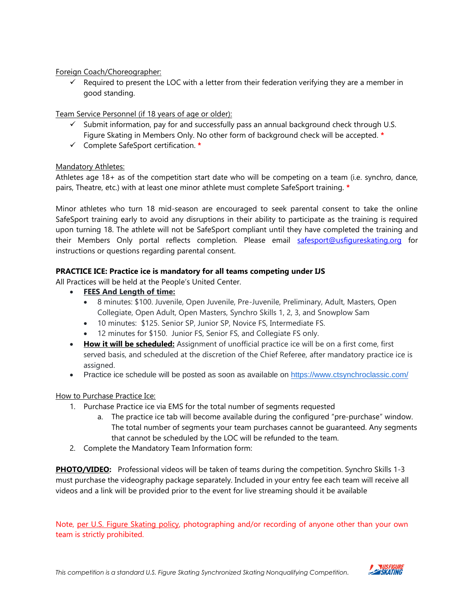Foreign Coach/Choreographer:

 $\checkmark$  Required to present the LOC with a letter from their federation verifying they are a member in good standing.

# Team Service Personnel (if 18 years of age or older):

- $\checkmark$  Submit information, pay for and successfully pass an annual background check through U.S. Figure Skating in Members Only. No other form of background check will be accepted. **\***
- ✓ Complete SafeSport certification. **\***

# Mandatory Athletes:

Athletes age 18+ as of the competition start date who will be competing on a team (i.e. synchro, dance, pairs, Theatre, etc.) with at least one minor athlete must complete SafeSport training. **\***

Minor athletes who turn 18 mid-season are encouraged to seek parental consent to take the online SafeSport training early to avoid any disruptions in their ability to participate as the training is required upon turning 18. The athlete will not be SafeSport compliant until they have completed the training and their Members Only portal reflects completion. Please email [safesport@usfigureskating.org](mailto:safesport@usfigureskating.org) for instructions or questions regarding parental consent.

## **PRACTICE ICE: Practice ice is mandatory for all teams competing under IJS**

All Practices will be held at the People's United Center.

- **FEES And Length of time:**
	- 8 minutes: \$100. Juvenile, Open Juvenile, Pre-Juvenile, Preliminary, Adult, Masters, Open Collegiate, Open Adult, Open Masters, Synchro Skills 1, 2, 3, and Snowplow Sam
	- 10 minutes: \$125. Senior SP, Junior SP, Novice FS, Intermediate FS.
	- 12 minutes for \$150. Junior FS, Senior FS, and Collegiate FS only.
- **How it will be scheduled:** Assignment of unofficial practice ice will be on a first come, first served basis, and scheduled at the discretion of the Chief Referee, after mandatory practice ice is assigned.
- Practice ice schedule will be posted as soon as available on <https://www.ctsynchroclassic.com/>

## How to Purchase Practice Ice:

- 1. Purchase Practice ice via EMS for the total number of segments requested
	- a. The practice ice tab will become available during the configured "pre-purchase" window. The total number of segments your team purchases cannot be guaranteed. Any segments that cannot be scheduled by the LOC will be refunded to the team.
- 2. Complete the Mandatory Team Information form:

**PHOTO/VIDEO:** Professional videos will be taken of teams during the competition. Synchro Skills 1-3 must purchase the videography package separately. Included in your entry fee each team will receive all videos and a link will be provided prior to the event for live streaming should it be available

Note, [per U.S. Figure Skating policy,](https://public.3.basecamp.com/p/EsWCNMRdrZ3qJs6LsB9RM9Vf) photographing and/or recording of anyone other than your own team is strictly prohibited.

*This competition is a standard U.S. Figure Skating Synchronized Skating Nonqualifying Competition.* 

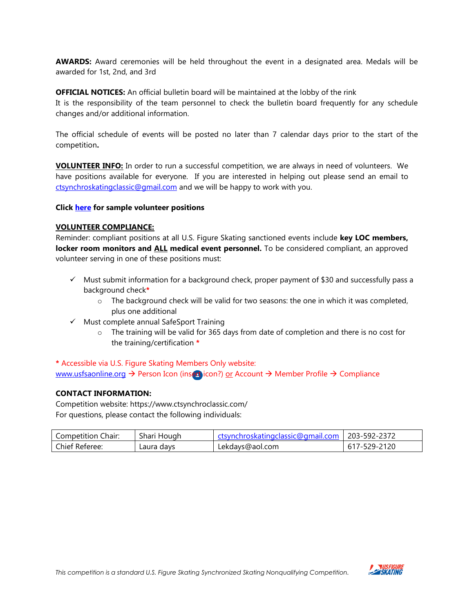**AWARDS:** Award ceremonies will be held throughout the event in a designated area. Medals will be awarded for 1st, 2nd, and 3rd

**OFFICIAL NOTICES:** An official bulletin board will be maintained at the lobby of the rink It is the responsibility of the team personnel to check the bulletin board frequently for any schedule changes and/or additional information.

The official schedule of events will be posted no later than 7 calendar days prior to the start of the competition**.** 

**VOLUNTEER INFO:** In order to run a successful competition, we are always in need of volunteers. We have positions available for everyone. If you are interested in helping out please send an email to [ctsynchroskatingclassic@gmail.com](mailto:ctsynchroskatingclassic@gmail.com) and we will be happy to work with you.

#### **Click [here](https://public.3.basecamp.com/p/QHbiL9vMozNJ3USgx2oKYbX2) for sample volunteer positions**

#### **VOLUNTEER COMPLIANCE:**

Reminder: compliant positions at all U.S. Figure Skating sanctioned events include **key LOC members, locker room monitors and ALL medical event personnel.** To be considered compliant, an approved volunteer serving in one of these positions must:

- ✓ Must submit information for a background check, proper payment of \$30 and successfully pass a background check**\***
	- $\circ$  The background check will be valid for two seasons: the one in which it was completed, plus one additional
- ✓ Must complete annual SafeSport Training
	- o The training will be valid for 365 days from date of completion and there is no cost for the training/certification **\***

**\*** Accessible via U.S. Figure Skating Members Only website: [www.usfsaonline.org](http://www.usfsaonline.org/) → Person Icon (insert icon?) or Account → Member Profile → Compliance

### **CONTACT INFORMATION:**

Competition website: https://www.ctsynchroclassic.com/ For questions, please contact the following individuals:

| Competition Chair: | $\sim$ 1<br>Shari Hough | .tingclassic@gmail.com<br>nroskatil | 203-592-2372    |
|--------------------|-------------------------|-------------------------------------|-----------------|
| Chief Referee:     | Laura davs              | Lekdays@aol.com                     | 2120<br>, 529-1 |